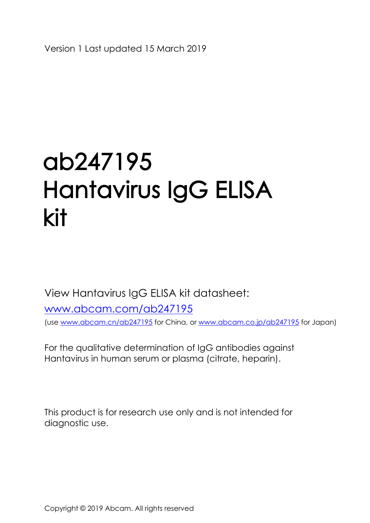# ab247195 Hantavirus Ig G ELISA kit

View Hantavirus IgG ELISAkit datasheet:

[www.abcam.com/ab247195](http://www.abcam.com/ab247193) (use [www.abcam.cn/ab2471](http://www.abcam.cn/ab)95 for China, or [www.abcam.co.jp/ab2471](http://www.abcam.co.jp/ab)95 for Japan)

For the qualitative determination of IgG antibodies against Hantavirus in human serum or plasma (citrate, heparin).

Thisproduct is for research use only and is not intended for diagnostic use.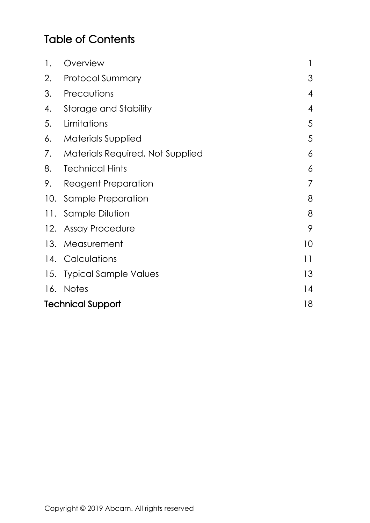#### Table of Contents

| 1.                       | Overview                            |  | 1              |
|--------------------------|-------------------------------------|--|----------------|
| 2.                       | <b>Protocol Summary</b>             |  | 3              |
| 3.                       | Precautions                         |  | 4              |
| 4.                       | Storage and Stability               |  | $\overline{4}$ |
| 5.                       | Limitations                         |  | 5              |
| 6.                       | <b>Materials Supplied</b>           |  | 5              |
|                          | 7. Materials Required, Not Supplied |  | 6              |
| 8.                       | <b>Technical Hints</b>              |  | 6              |
| 9.                       | Reagent Preparation                 |  | $\overline{7}$ |
|                          | 10. Sample Preparation              |  | 8              |
|                          | 11. Sample Dilution                 |  | 8              |
|                          | 12. Assay Procedure                 |  | 9              |
|                          | 13. Measurement                     |  | 10             |
|                          | 14. Calculations                    |  | 11             |
|                          | 15. Typical Sample Values           |  | 13             |
|                          | 16. Notes                           |  | 14             |
| <b>Technical Support</b> |                                     |  | 18             |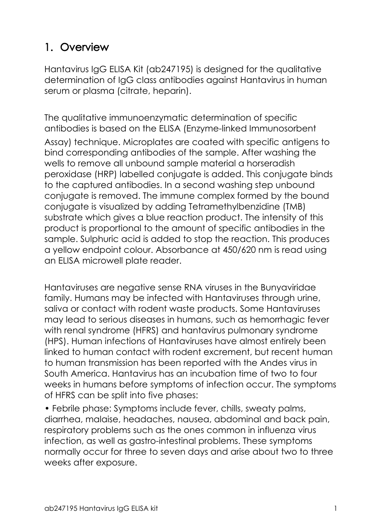# <span id="page-2-0"></span>**1. Overview**

Hantavirus IgG ELISA Kit (ab247195) is designed for the qualitative determination of IgG class antibodies against Hantavirus in human serum or plasma (citrate, heparin).

The qualitative immunoenzymatic determination of specific antibodies is based on the ELISA (Enzyme-linked Immunosorbent Assay) technique. Microplates are coated with specific antigens to bind corresponding antibodies of the sample. After washing the wells to remove all unbound sample material a horseradish peroxidase (HRP) labelled conjugate is added. This conjugate binds to the captured antibodies. In a second washing step unbound conjugate is removed. The immune complex formed by the bound conjugate is visualized by adding Tetramethylbenzidine (TMB) substrate which gives a blue reaction product. The intensity of this product is proportional to the amount of specific antibodies in the sample. Sulphuric acid is added to stop the reaction. This produces a yellow endpoint colour. Absorbance at 450/620 nm is read using an ELISA microwell plate reader.

Hantaviruses are negative sense RNA viruses in the Bunyaviridae family. Humans may be infected with Hantaviruses through urine, saliva or contact with rodent waste products. Some Hantaviruses may lead to serious diseases in humans, such as hemorrhagic fever with renal syndrome (HFRS) and hantavirus pulmonary syndrome (HPS). Human infections of Hantaviruses have almost entirely been linked to human contact with rodent excrement, but recent human to human transmission has been reported with the Andes virus in South America. Hantavirus has an incubation time of two to four weeks in humans before symptoms of infection occur. The symptoms of HFRS can be split into five phases:

• Febrile phase: Symptoms include fever, chills, sweaty palms, diarrhea, malaise, headaches, nausea, abdominal and back pain, respiratory problems such as the ones common in influenza virus infection, as well as gastro-intestinal problems. These symptoms normally occur for three to seven days and arise about two to three weeks after exposure.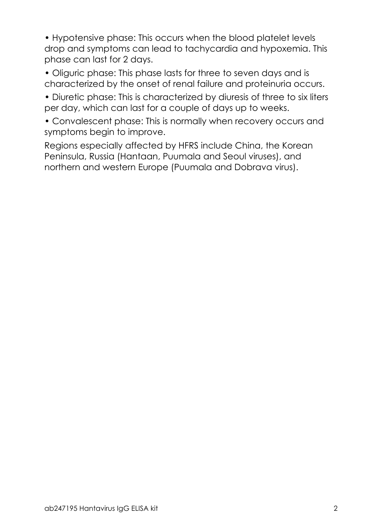• Hypotensive phase: This occurs when the blood platelet levels drop and symptoms can lead to tachycardia and hypoxemia. This phase can last for 2 days.

• Oliguric phase: This phase lasts for three to seven days and is characterized by the onset of renal failure and proteinuria occurs.

• Diuretic phase: This is characterized by diuresis of three to six liters per day, which can last for a couple of days up to weeks.

• Convalescent phase: This is normally when recovery occurs and symptoms begin to improve.

Regions especially affected by HFRS include China, the Korean Peninsula, Russia (Hantaan, Puumala and Seoul viruses), and northern and western Europe (Puumala and Dobrava virus).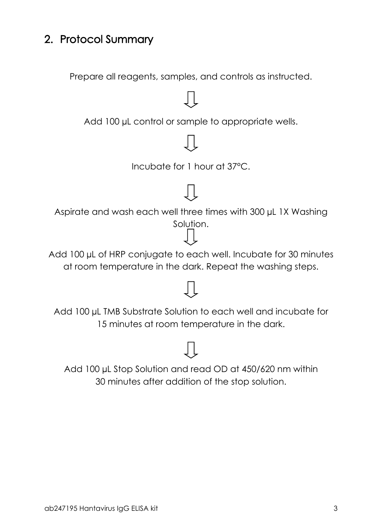## <span id="page-4-0"></span>**2. Protocol Summary**

Prepare all reagents, samples, and controls as instructed.



Add 100 µL Stop Solution and read OD at 450/620 nm within 30 minutes after addition of the stop solution.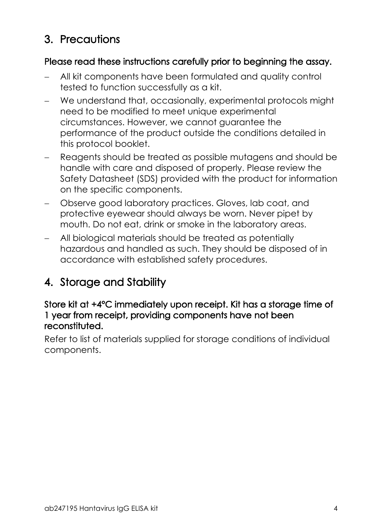## <span id="page-5-0"></span>**3. Precautions**

#### **Please read these instructions carefully prior to beginning the assay.**

- All kit components have been formulated and quality control tested to function successfully as a kit.
- We understand that, occasionally, experimental protocols might need to be modified to meet unique experimental circumstances. However, we cannot guarantee the performance of the product outside the conditions detailed in this protocol booklet.
- Reagents should be treated as possible mutagens and should be handle with care and disposed of properly. Please review the Safety Datasheet (SDS) provided with the product for information on the specific components.
- Observe good laboratory practices. Gloves, lab coat, and protective eyewear should always be worn. Never pipet by mouth. Do not eat, drink or smoke in the laboratory areas.
- All biological materials should be treated as potentially hazardous and handled as such. They should be disposed of in accordance with established safety procedures.

# <span id="page-5-1"></span>**4. Storage and Stability**

#### **Store kit at +4°C immediately upon receipt. Kit has a storage time of 1 year from receipt, providing components have not been reconstituted.**

Refer to list of materials supplied for storage conditions of individual components.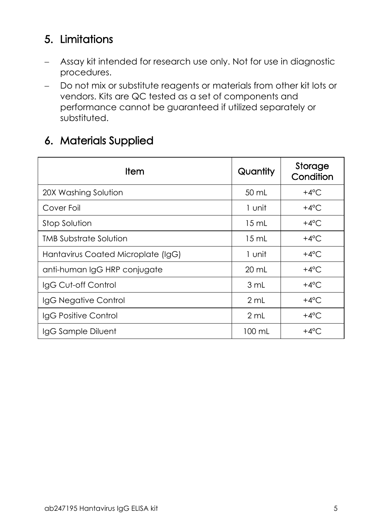# <span id="page-6-0"></span>**5. Limitations**

- Assay kit intended for research use only. Not for use in diagnostic procedures.
- Do not mix or substitute reagents or materials from other kit lots or vendors. Kits are QC tested as a set of components and performance cannot be guaranteed if utilized separately or substituted.

## <span id="page-6-1"></span>**6. Materials Supplied**

| ltem                               | Quantity        | Storage<br>Condition |  |  |
|------------------------------------|-----------------|----------------------|--|--|
| 20X Washing Solution               | 50 mL           | +4 $^{\circ}$ C      |  |  |
| Cover Foil                         | 1 unit          | $+4^{\circ}$ C       |  |  |
| Stop Solution                      | $15 \text{ mL}$ | $+4^{\circ}$ C       |  |  |
| TMB Substrate Solution             | $15 \text{ mL}$ | +4 $^{\circ}$ C      |  |  |
| Hantavirus Coated Microplate (IgG) | 1 unit          | $+4^{\circ}$ C       |  |  |
| anti-human IgG HRP conjugate       | $20 \text{ mL}$ | +4 $^{\circ}$ C      |  |  |
| IgG Cut-off Control                | 3 mL            | +4 $^{\circ}$ C      |  |  |
| IgG Negative Control               | 2 mL            | $+4^{\circ}$ C       |  |  |
| IgG Positive Control               | 2 mL            | $+4^{\circ}$ C       |  |  |
| IgG Sample Diluent                 | 100 mL          | +4 $^{\circ}$ C      |  |  |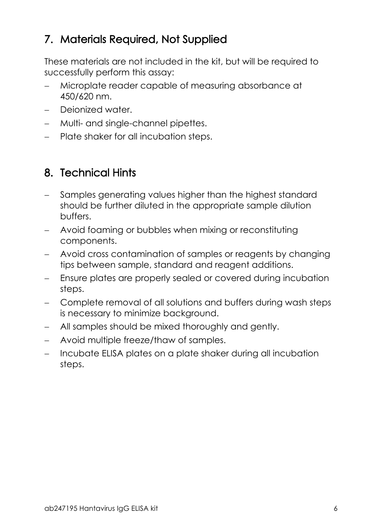## <span id="page-7-0"></span>**7. Materials Required, Not Supplied**

These materials are not included in the kit, but will be required to successfully perform this assay:

- Microplate reader capable of measuring absorbance at 450/620 nm.
- Dejonized water.
- Multi- and single-channel pipettes.
- Plate shaker for all incubation steps.

# <span id="page-7-1"></span>**8. Technical Hints**

- Samples generating values higher than the highest standard should be further diluted in the appropriate sample dilution buffers.
- Avoid foaming or bubbles when mixing or reconstituting components.
- Avoid cross contamination of samples or reagents by changing tips between sample, standard and reagent additions.
- Ensure plates are properly sealed or covered during incubation steps.
- Complete removal of all solutions and buffers during wash steps is necessary to minimize background.
- All samples should be mixed thoroughly and gently.
- Avoid multiple freeze/thaw of samples.
- Incubate ELISA plates on a plate shaker during all incubation steps.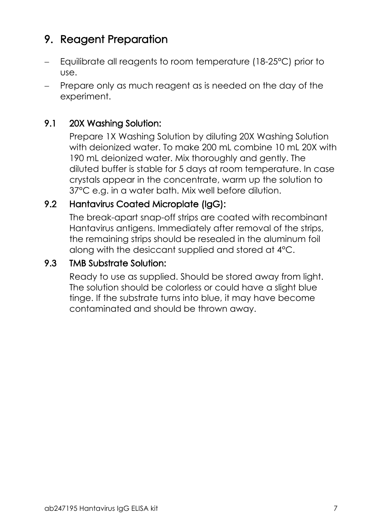# <span id="page-8-0"></span>**9. Reagent Preparation**

- Equilibrate all reagents to room temperature (18-25°C) prior to use.
- Prepare only as much reagent as is needed on the day of the experiment.

#### **9.1 20X Washing Solution:**

Prepare 1X Washing Solution by diluting 20X Washing Solution with deionized water. To make 200 mL combine 10 mL 20X with 190 mL deionized water. Mix thoroughly and gently. The diluted buffer is stable for 5 days at room temperature. In case crystals appear in the concentrate, warm up the solution to 37°C e.g. in a water bath. Mix well before dilution.

#### **9.2 Hantavirus Coated Microplate (IgG):**

The break-apart snap-off strips are coated with recombinant Hantavirus antigens. Immediately after removal of the strips, the remaining strips should be resealed in the aluminum foil along with the desiccant supplied and stored at 4°C.

#### **9.3 TMB Substrate Solution:**

Ready to use as supplied. Should be stored away from light. The solution should be colorless or could have a slight blue tinge. If the substrate turns into blue, it may have become contaminated and should be thrown away.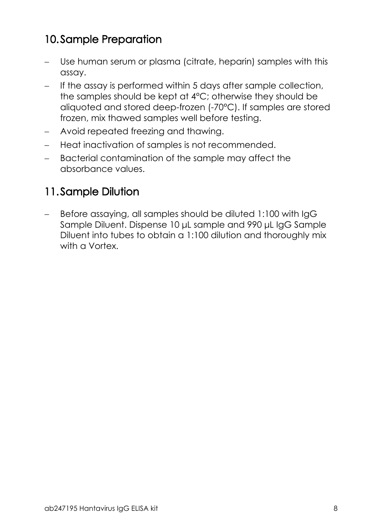# <span id="page-9-0"></span>**10.Sample Preparation**

- Use human serum or plasma (citrate, heparin) samples with this assay.
- If the assay is performed within 5 days after sample collection, the samples should be kept at 4°C; otherwise they should be aliquoted and stored deep-frozen (-70°C). If samples are stored frozen, mix thawed samples well before testing.
- Avoid repeated freezing and thawing.
- Heat inactivation of samples is not recommended.
- Bacterial contamination of the sample may affect the absorbance values.

## <span id="page-9-1"></span>**11.Sample Dilution**

- Before assaying, all samples should be diluted 1:100 with IgG Sample Diluent. Dispense 10 μL sample and 990 μL IgG Sample Diluent into tubes to obtain a 1:100 dilution and thoroughly mix with a Vortex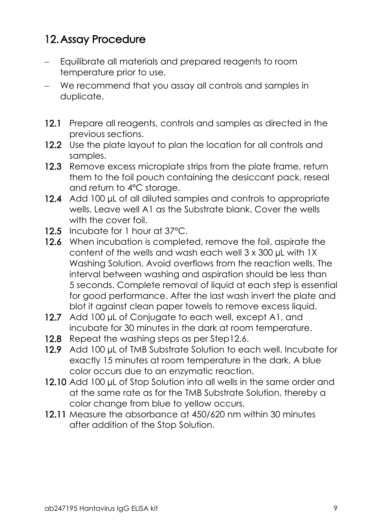## <span id="page-10-0"></span>**12.Assay Procedure**

- Equilibrate all materials and prepared reagents to room temperature prior to use.
- We recommend that you assay all controls and samples in duplicate.
- **12.1** Prepare all reagents, controls and samples as directed in the previous sections.
- 12.2 Use the plate layout to plan the location for all controls and samples.
- **12.3** Remove excess microplate strips from the plate frame, return them to the foil pouch containing the desiccant pack, reseal and return to 4ºC storage.
- 12.4 Add 100 µL of all diluted samples and controls to appropriate wells. Leave well A1 as the Substrate blank. Cover the wells with the cover foil
- **12.5** Incubate for 1 hour at 37°C.
- 12.6 When incubation is completed, remove the foil, aspirate the content of the wells and wash each well 3 x 300 µL with 1X Washing Solution. Avoid overflows from the reaction wells. The interval between washing and aspiration should be less than 5 seconds. Complete removal of liquid at each step is essential for good performance. After the last wash invert the plate and blot it against clean paper towels to remove excess liquid.
- **12.7** Add 100 µL of Conjugate to each well, except A1, and incubate for 30 minutes in the dark at room temperature.
- **12.8** Repeat the washing steps as per Step12.6.
- 12.9 Add 100 µL of TMB Substrate Solution to each well. Incubate for exactly 15 minutes at room temperature in the dark. A blue color occurs due to an enzymatic reaction.
- **12.10** Add 100 µL of Stop Solution into all wells in the same order and at the same rate as for the TMB Substrate Solution, thereby a color change from blue to yellow occurs.
- **12.11** Measure the absorbance at 450/620 nm within 30 minutes after addition of the Stop Solution.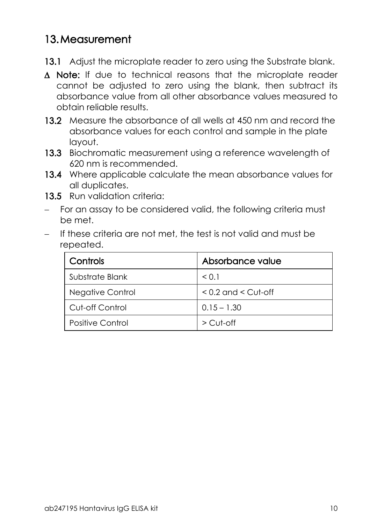#### <span id="page-11-0"></span>**13.Measurement**

- **13.1** Adjust the microplate reader to zero using the Substrate blank.
- **Note:** If due to technical reasons that the microplate reader cannot be adjusted to zero using the blank, then subtract its absorbance value from all other absorbance values measured to obtain reliable results.
- **13.2** Measure the absorbance of all wells at 450 nm and record the absorbance values for each control and sample in the plate layout.
- **13.3** Biochromatic measurement using a reference wavelength of 620 nm is recommended.
- **13.4** Where applicable calculate the mean absorbance values for all duplicates.
- **13.5** Run validation criteria:
- For an assay to be considered valid, the following criteria must be met.
- If these criteria are not met, the test is not valid and must be repeated.

| Controls         | Absorbance value        |
|------------------|-------------------------|
| Substrate Blank  | < 0.1                   |
| Negative Control | $< 0.2$ and $<$ Cut-off |
| Cut-off Control  | $0.15 - 1.30$           |
| Positive Control | $\geq$ Cut-off          |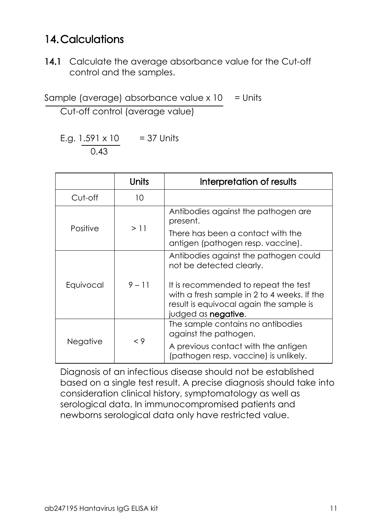## <span id="page-12-0"></span>**14.Calculations**

**14.1** Calculate the average absorbance value for the Cut-off control and the samples.

Sample (average) absorbance value  $x$  10 = Units

Cut-off control (average value)

E.g.  $1.591 \times 10 = 37$  Units 0.43

|           | Units    | Interpretation of results                                                                                                                                     |  |  |
|-----------|----------|---------------------------------------------------------------------------------------------------------------------------------------------------------------|--|--|
| Cut-off   | 10       |                                                                                                                                                               |  |  |
|           | >11      | Antibodies against the pathogen are<br>present.                                                                                                               |  |  |
| Positive  |          | There has been a contact with the<br>antigen (pathogen resp. vaccine).                                                                                        |  |  |
|           | $9 - 11$ | Antibodies against the pathogen could<br>not be detected clearly.                                                                                             |  |  |
| Equivocal |          | It is recommended to repeat the test<br>with a fresh sample in 2 to 4 weeks. If the<br>result is equivocal again the sample is<br>judged as <b>negative</b> . |  |  |
|           | < 9      | The sample contains no antibodies<br>against the pathogen.                                                                                                    |  |  |
| Negative  |          | A previous contact with the antigen<br>(pathogen resp. vaccine) is unlikely.                                                                                  |  |  |

Diagnosis of an infectious disease should not be established based on a single test result. A precise diagnosis should take into consideration clinical history, symptomatology as well as serological data. In immunocompromised patients and newborns serological data only have restricted value.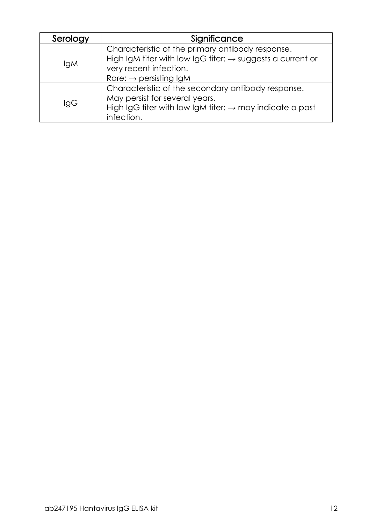| Serology   | Significance                                                           |  |  |
|------------|------------------------------------------------------------------------|--|--|
|            | Characteristic of the primary antibody response.                       |  |  |
|            | High IgM titer with low IgG titer: $\rightarrow$ suggests a current or |  |  |
| <b>IgM</b> | very recent infection.                                                 |  |  |
|            | Rare: $\rightarrow$ persisting IgM                                     |  |  |
|            | Characteristic of the secondary antibody response.                     |  |  |
|            | May persist for several years.                                         |  |  |
| lgG        | High IgG titer with low IgM titer: $\rightarrow$ may indicate a past   |  |  |
|            | infection.                                                             |  |  |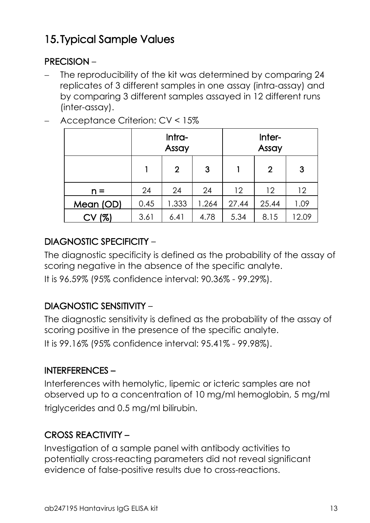# <span id="page-14-0"></span>**15. Typical Sample Values**

#### **PRECISION** –

 The reproducibility of the kit was determined by comparing 24 replicates of 3 different samples in one assay (intra-assay) and by comparing 3 different samples assayed in 12 different runs (inter-assay).

|           | Intra-<br>Assay |                |       | Inter-<br>Assay |              |       |
|-----------|-----------------|----------------|-------|-----------------|--------------|-------|
|           |                 | $\overline{2}$ | 3     |                 | $\mathbf{2}$ | 3     |
| $n =$     | 24              | 24             | 24    | 12              | 12           | 12    |
| Mean (OD) | 0.45            | 1.333          | 1.264 | 27.44           | 25.44        | 1.09  |
| CV (%)    | 3.61            | 6.41           | 4.78  | 5.34            | 8.15         | 12.09 |

- Acceptance Criterion: CV < 15%

#### **DIAGNOSTIC SPECIFICITY** –

The diagnostic specificity is defined as the probability of the assay of scoring negative in the absence of the specific analyte.

It is 96.59% (95% confidence interval: 90.36% - 99.29%).

#### **DIAGNOSTIC SENSITIVITY** –

The diagnostic sensitivity is defined as the probability of the assay of scoring positive in the presence of the specific analyte. It is 99.16% (95% confidence interval: 95.41% - 99.98%).

#### **INTERFERENCES –**

Interferences with hemolytic, lipemic or icteric samples are not observed up to a concentration of 10 mg/ml hemoglobin, 5 mg/ml triglycerides and 0.5 mg/ml bilirubin.

#### **CROSS REACTIVITY –**

Investigation of a sample panel with antibody activities to potentially cross-reacting parameters did not reveal significant evidence of false-positive results due to cross-reactions.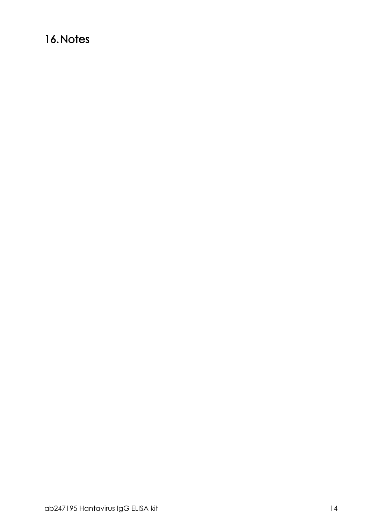## <span id="page-15-0"></span>16. Notes